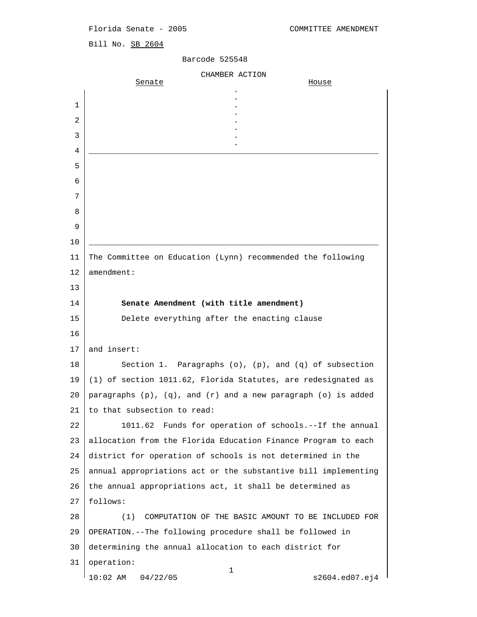## Florida Senate - 2005 COMMITTEE AMENDMENT

Bill No. SB 2604

## Barcode 525548

|    | CHAMBER ACTION                                                          |
|----|-------------------------------------------------------------------------|
|    | Senate<br>House                                                         |
| 1  |                                                                         |
| 2  |                                                                         |
| 3  |                                                                         |
| 4  |                                                                         |
| 5  |                                                                         |
| 6  |                                                                         |
| 7  |                                                                         |
| 8  |                                                                         |
| 9  |                                                                         |
| 10 |                                                                         |
| 11 | The Committee on Education (Lynn) recommended the following             |
| 12 | $a$ mendment:                                                           |
| 13 |                                                                         |
| 14 | Senate Amendment (with title amendment)                                 |
| 15 | Delete everything after the enacting clause                             |
| 16 |                                                                         |
| 17 | and insert:                                                             |
| 18 | Section 1. Paragraphs $(o)$ , $(p)$ , and $(q)$ of subsection           |
| 19 | (1) of section 1011.62, Florida Statutes, are redesignated as           |
| 20 | paragraphs $(p)$ , $(q)$ , and $(r)$ and a new paragraph $(o)$ is added |
| 21 | to that subsection to read:                                             |
| 22 | 1011.62 Funds for operation of schools.--If the annual                  |
| 23 | allocation from the Florida Education Finance Program to each           |
| 24 | district for operation of schools is not determined in the              |
| 25 | annual appropriations act or the substantive bill implementing          |
| 26 | the annual appropriations act, it shall be determined as                |
| 27 | follows:                                                                |
| 28 | (1)<br>COMPUTATION OF THE BASIC AMOUNT TO BE INCLUDED FOR               |
| 29 | OPERATION.--The following procedure shall be followed in                |
| 30 | determining the annual allocation to each district for                  |
| 31 | operation:<br>$\mathbf 1$                                               |
|    | $10:02$ AM<br>04/22/05<br>s2604.ed07.ej4                                |